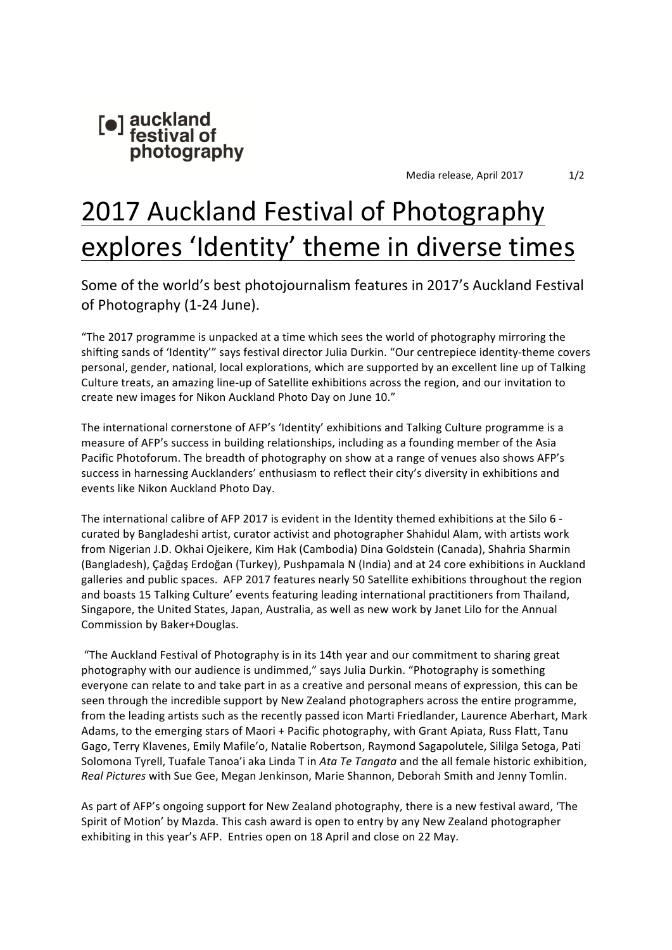

# 2017 Auckland Festival of Photography explores 'Identity' theme in diverse times

Some of the world's best photojournalism features in 2017's Auckland Festival of Photography (1-24 June).

"The 2017 programme is unpacked at a time which sees the world of photography mirroring the shifting sands of 'Identity'" says festival director Julia Durkin. "Our centrepiece identity-theme covers personal, gender, national, local explorations, which are supported by an excellent line up of Talking Culture treats, an amazing line-up of Satellite exhibitions across the region, and our invitation to create new images for Nikon Auckland Photo Day on June 10."

The international cornerstone of AFP's 'Identity' exhibitions and Talking Culture programme is a measure of AFP's success in building relationships, including as a founding member of the Asia Pacific Photoforum. The breadth of photography on show at a range of venues also shows AFP's success in harnessing Aucklanders' enthusiasm to reflect their city's diversity in exhibitions and events like Nikon Auckland Photo Day.

The international calibre of AFP 2017 is evident in the Identity themed exhibitions at the Silo 6 curated by Bangladeshi artist, curator activist and photographer Shahidul Alam, with artists work from Nigerian J.D. Okhai Ojeikere, Kim Hak (Cambodia) Dina Goldstein (Canada), Shahria Sharmin (Bangladesh), Çağdaş Erdoğan (Turkey), Pushpamala N (India) and at 24 core exhibitions in Auckland galleries and public spaces. AFP 2017 features nearly 50 Satellite exhibitions throughout the region and boasts 15 Talking Culture' events featuring leading international practitioners from Thailand, Singapore, the United States, Japan, Australia, as well as new work by Janet Lilo for the Annual Commission by Baker+Douglas.

"The Auckland Festival of Photography is in its 14th year and our commitment to sharing great photography with our audience is undimmed," says Julia Durkin. "Photography is something everyone can relate to and take part in as a creative and personal means of expression, this can be seen through the incredible support by New Zealand photographers across the entire programme, from the leading artists such as the recently passed icon Marti Friedlander, Laurence Aberhart, Mark Adams, to the emerging stars of Maori + Pacific photography, with Grant Apiata, Russ Flatt, Tanu Gago, Terry Klavenes, Emily Mafile'o, Natalie Robertson, Raymond Sagapolutele, Sililga Setoga, Pati Solomona Tyrell, Tuafale Tanoa'i aka Linda T in *Ata Te Tangata* and the all female historic exhibition, *Real Pictures* with Sue Gee, Megan Jenkinson, Marie Shannon, Deborah Smith and Jenny Tomlin.

As part of AFP's ongoing support for New Zealand photography, there is a new festival award, 'The Spirit of Motion' by Mazda. This cash award is open to entry by any New Zealand photographer exhibiting in this year's AFP. Entries open on 18 April and close on 22 May.